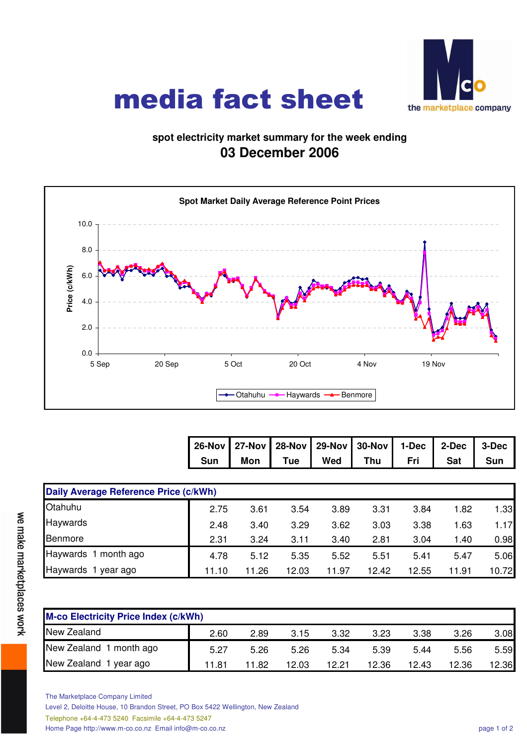

## media fact sheet

## **spot electricity market summary for the week ending 03 December 2006**



|  |  | 26-Nov 27-Nov 28-Nov 29-Nov 30-Nov 1-Dec 2-Dec 3-Dec |       |     |
|--|--|------------------------------------------------------|-------|-----|
|  |  | Sun   Mon   Tue   Wed   Thu   Fri                    | Sat I | Sun |

| Daily Average Reference Price (c/kWh) |       |       |       |       |       |       |       |       |  |  |
|---------------------------------------|-------|-------|-------|-------|-------|-------|-------|-------|--|--|
| Otahuhu                               | 2.75  | 3.61  | 3.54  | 3.89  | 3.31  | 3.84  | 1.82  | 1.33  |  |  |
| Haywards                              | 2.48  | 3.40  | 3.29  | 3.62  | 3.03  | 3.38  | 1.63  | 1.17  |  |  |
| Benmore                               | 2.31  | 3.24  | 3.11  | 3.40  | 2.81  | 3.04  | 1.40  | 0.98  |  |  |
| Haywards 1 month ago                  | 4.78  | 5.12  | 5.35  | 5.52  | 5.51  | 5.41  | 5.47  | 5.06  |  |  |
| Haywards 1 year ago                   | 11.10 | 11.26 | 12.03 | 11.97 | 12.42 | 12.55 | 11.91 | 10.72 |  |  |

| <b>M-co Electricity Price Index (c/kWh)</b> |       |       |       |       |       |       |       |       |  |  |
|---------------------------------------------|-------|-------|-------|-------|-------|-------|-------|-------|--|--|
| New Zealand                                 | 2.60  | 2.89  | 3.15  | 3.32  | 3.23  | 3.38  | 3.26  | 3.08  |  |  |
| New Zealand 1 month ago                     | 5.27  | 5.26  | 5.26  | 5.34  | 5.39  | 5.44  | 5.56  | 5.59  |  |  |
| New Zealand 1 year ago                      | 11.81 | 11.82 | 12.03 | 12 21 | 12.36 | 12.43 | 12.36 | 12.36 |  |  |

we make marketplaces work

The Marketplace Company Limited

Level 2, Deloitte House, 10 Brandon Street, PO Box 5422 Wellington, New Zealand

Telephone +64-4-473 5240 Facsimile +64-4-473 5247

Home Page http://www.m-co.co.nz Email info@m-co.co.nz page 1 of 2